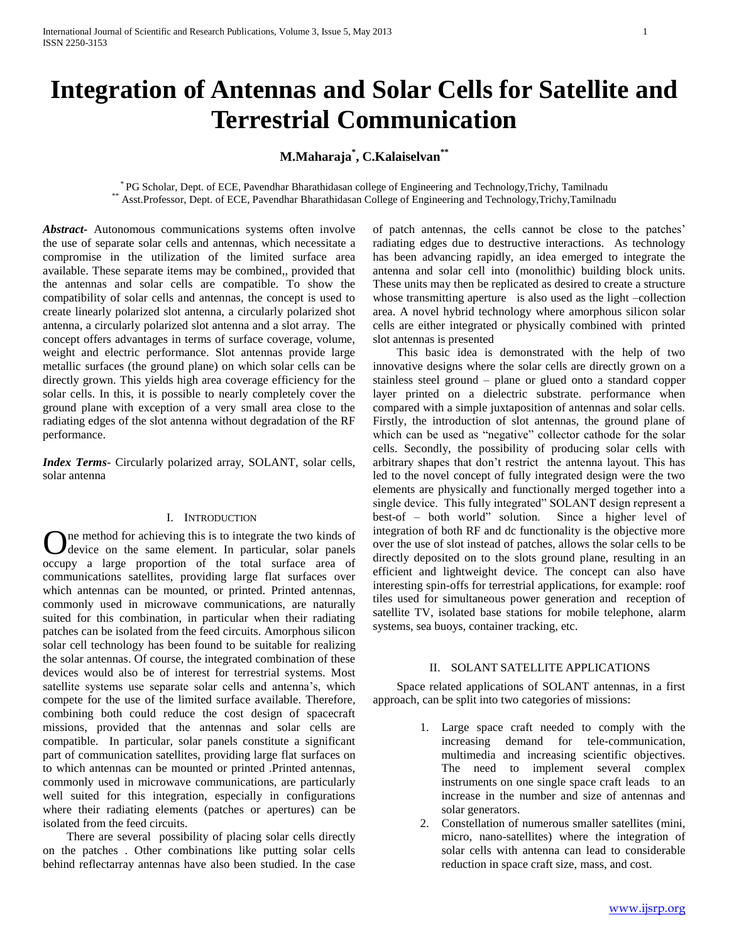# **Integration of Antennas and Solar Cells for Satellite and Terrestrial Communication**

# **M.Maharaja\* , C.Kalaiselvan\*\***

\* PG Scholar, Dept. of ECE, Pavendhar Bharathidasan college of Engineering and Technology,Trichy, Tamilnadu \*\* Asst.Professor, Dept. of ECE, Pavendhar Bharathidasan College of Engineering and Technology,Trichy,Tamilnadu

*Abstract***-** Autonomous communications systems often involve the use of separate solar cells and antennas, which necessitate a compromise in the utilization of the limited surface area available. These separate items may be combined,, provided that the antennas and solar cells are compatible. To show the compatibility of solar cells and antennas, the concept is used to create linearly polarized slot antenna, a circularly polarized shot antenna, a circularly polarized slot antenna and a slot array. The concept offers advantages in terms of surface coverage, volume, weight and electric performance. Slot antennas provide large metallic surfaces (the ground plane) on which solar cells can be directly grown. This yields high area coverage efficiency for the solar cells. In this, it is possible to nearly completely cover the ground plane with exception of a very small area close to the radiating edges of the slot antenna without degradation of the RF performance.

*Index Terms*- Circularly polarized array, SOLANT, solar cells, solar antenna

#### I. INTRODUCTION

ne method for achieving this is to integrate the two kinds of One method for achieving this is to integrate the two kinds of device on the same element. In particular, solar panels occupy a large proportion of the total surface area of communications satellites, providing large flat surfaces over which antennas can be mounted, or printed. Printed antennas, commonly used in microwave communications, are naturally suited for this combination, in particular when their radiating patches can be isolated from the feed circuits. Amorphous silicon solar cell technology has been found to be suitable for realizing the solar antennas. Of course, the integrated combination of these devices would also be of interest for terrestrial systems. Most satellite systems use separate solar cells and antenna's, which compete for the use of the limited surface available. Therefore, combining both could reduce the cost design of spacecraft missions, provided that the antennas and solar cells are compatible. In particular, solar panels constitute a significant part of communication satellites, providing large flat surfaces on to which antennas can be mounted or printed .Printed antennas, commonly used in microwave communications, are particularly well suited for this integration, especially in configurations where their radiating elements (patches or apertures) can be isolated from the feed circuits.

 There are several possibility of placing solar cells directly on the patches . Other combinations like putting solar cells behind reflectarray antennas have also been studied. In the case of patch antennas, the cells cannot be close to the patches' radiating edges due to destructive interactions. As technology has been advancing rapidly, an idea emerged to integrate the antenna and solar cell into (monolithic) building block units. These units may then be replicated as desired to create a structure whose transmitting aperture is also used as the light –collection area. A novel hybrid technology where amorphous silicon solar cells are either integrated or physically combined with printed slot antennas is presented

 This basic idea is demonstrated with the help of two innovative designs where the solar cells are directly grown on a stainless steel ground – plane or glued onto a standard copper layer printed on a dielectric substrate. performance when compared with a simple juxtaposition of antennas and solar cells. Firstly, the introduction of slot antennas, the ground plane of which can be used as "negative" collector cathode for the solar cells. Secondly, the possibility of producing solar cells with arbitrary shapes that don't restrict the antenna layout. This has led to the novel concept of fully integrated design were the two elements are physically and functionally merged together into a single device. This fully integrated" SOLANT design represent a best-of – both world" solution. Since a higher level of integration of both RF and dc functionality is the objective more over the use of slot instead of patches, allows the solar cells to be directly deposited on to the slots ground plane, resulting in an efficient and lightweight device. The concept can also have interesting spin-offs for terrestrial applications, for example: roof tiles used for simultaneous power generation and reception of satellite TV, isolated base stations for mobile telephone, alarm systems, sea buoys, container tracking, etc.

# II. SOLANT SATELLITE APPLICATIONS

 Space related applications of SOLANT antennas, in a first approach, can be split into two categories of missions:

- 1. Large space craft needed to comply with the increasing demand for tele-communication, multimedia and increasing scientific objectives. The need to implement several complex instruments on one single space craft leads to an increase in the number and size of antennas and solar generators.
- 2. Constellation of numerous smaller satellites (mini, micro, nano-satellites) where the integration of solar cells with antenna can lead to considerable reduction in space craft size, mass, and cost.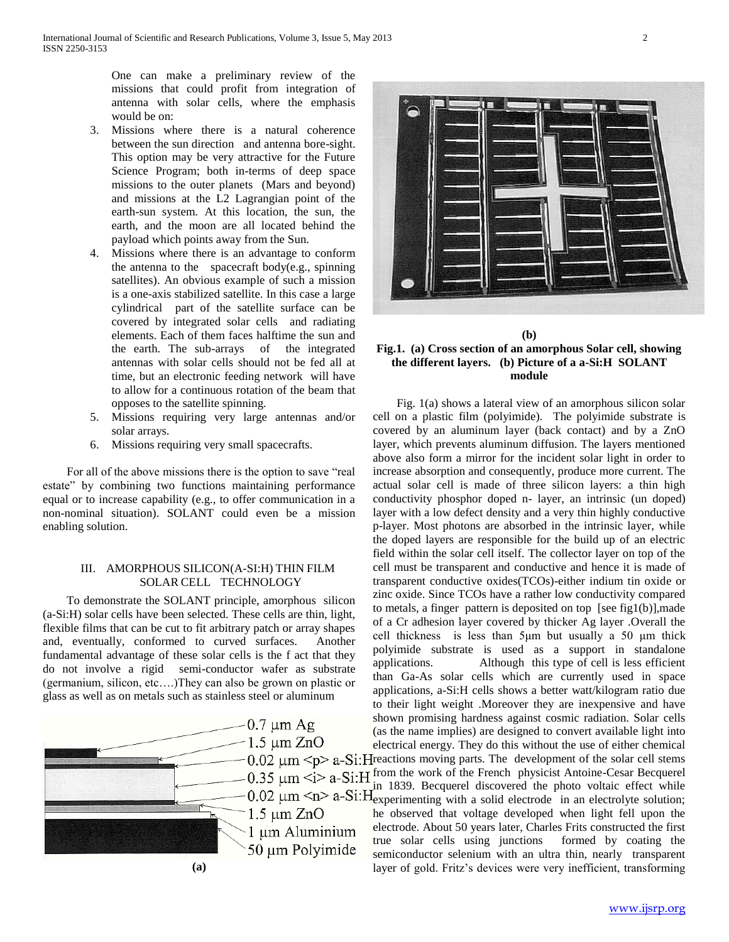One can make a preliminary review of the missions that could profit from integration of antenna with solar cells, where the emphasis would be on:

- 3. Missions where there is a natural coherence between the sun direction and antenna bore-sight. This option may be very attractive for the Future Science Program; both in-terms of deep space missions to the outer planets (Mars and beyond) and missions at the L2 Lagrangian point of the earth-sun system. At this location, the sun, the earth, and the moon are all located behind the payload which points away from the Sun.
- 4. Missions where there is an advantage to conform the antenna to the spacecraft body(e.g., spinning satellites). An obvious example of such a mission is a one-axis stabilized satellite. In this case a large cylindrical part of the satellite surface can be covered by integrated solar cells and radiating elements. Each of them faces halftime the sun and the earth. The sub-arrays of the integrated antennas with solar cells should not be fed all at time, but an electronic feeding network will have to allow for a continuous rotation of the beam that opposes to the satellite spinning.
- 5. Missions requiring very large antennas and/or solar arrays.
- 6. Missions requiring very small spacecrafts.

 For all of the above missions there is the option to save "real estate" by combining two functions maintaining performance equal or to increase capability (e.g., to offer communication in a non-nominal situation). SOLANT could even be a mission enabling solution.

# III. AMORPHOUS SILICON(A-SI:H) THIN FILM SOLAR CELL TECHNOLOGY

 To demonstrate the SOLANT principle, amorphous silicon (a-Si:H) solar cells have been selected. These cells are thin, light, flexible films that can be cut to fit arbitrary patch or array shapes and, eventually, conformed to curved surfaces. Another fundamental advantage of these solar cells is the f act that they do not involve a rigid semi-conductor wafer as substrate (germanium, silicon, etc….)They can also be grown on plastic or glass as well as on metals such as stainless steel or aluminum





# **(b) Fig.1. (a) Cross section of an amorphous Solar cell, showing the different layers. (b) Picture of a a-Si:H SOLANT module**

 Fig. 1(a) shows a lateral view of an amorphous silicon solar cell on a plastic film (polyimide). The polyimide substrate is covered by an aluminum layer (back contact) and by a ZnO layer, which prevents aluminum diffusion. The layers mentioned above also form a mirror for the incident solar light in order to increase absorption and consequently, produce more current. The actual solar cell is made of three silicon layers: a thin high conductivity phosphor doped n- layer, an intrinsic (un doped) layer with a low defect density and a very thin highly conductive p-layer. Most photons are absorbed in the intrinsic layer, while the doped layers are responsible for the build up of an electric field within the solar cell itself. The collector layer on top of the cell must be transparent and conductive and hence it is made of transparent conductive oxides(TCOs)-either indium tin oxide or zinc oxide. Since TCOs have a rather low conductivity compared to metals, a finger pattern is deposited on top [see fig1(b)],made of a Cr adhesion layer covered by thicker Ag layer .Overall the cell thickness is less than 5μm but usually a 50 μm thick polyimide substrate is used as a support in standalone applications. Although this type of cell is less efficient than Ga-As solar cells which are currently used in space applications, a-Si:H cells shows a better watt/kilogram ratio due to their light weight .Moreover they are inexpensive and have shown promising hardness against cosmic radiation. Solar cells (as the name implies) are designed to convert available light into electrical energy. They do this without the use of either chemical  $0.02 \mu m$  <p> a-Si: H reactions moving parts. The development of the solar cell stems  $f(x) = 0.35 \mu m < i>h^{-1}$  a-Si:H from the work of the French physicist Antoine-Cesar Becquerel in 1839. Becquerel discovered the photo voltaic effect while experimenting with a solid electrode in an electrolyte solution; he observed that voltage developed when light fell upon the electrode. About 50 years later, Charles Frits constructed the first true solar cells using junctions formed by coating the semiconductor selenium with an ultra thin, nearly transparent layer of gold. Fritz's devices were very inefficient, transforming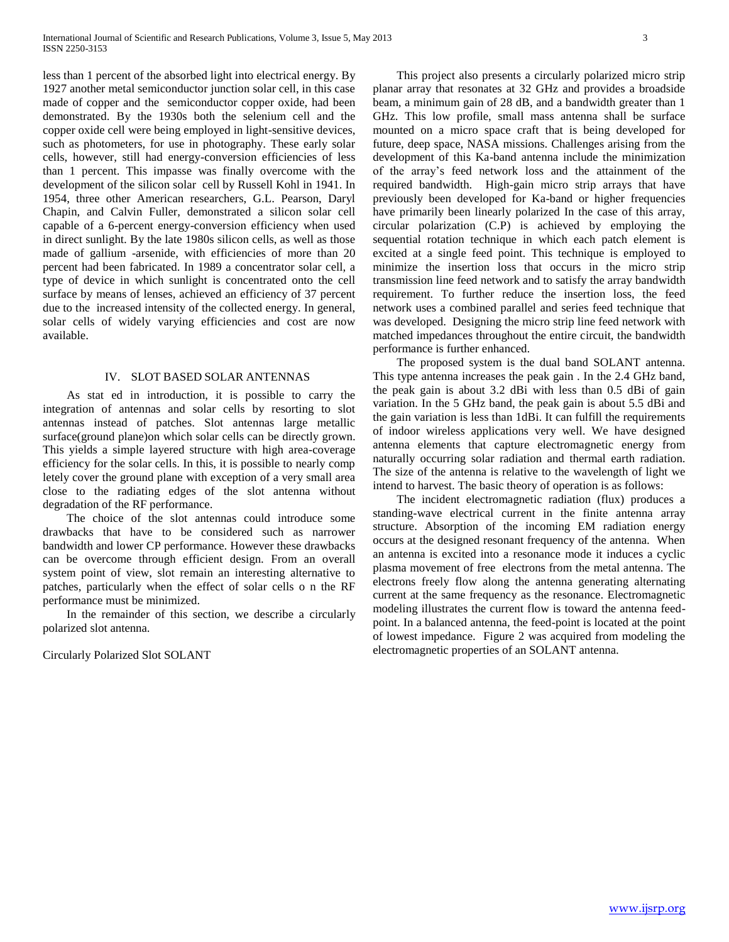less than 1 percent of the absorbed light into electrical energy. By 1927 another metal semiconductor junction solar cell, in this case made of copper and the semiconductor copper oxide, had been demonstrated. By the 1930s both the selenium cell and the copper oxide cell were being employed in light-sensitive devices, such as photometers, for use in photography. These early solar cells, however, still had energy-conversion efficiencies of less than 1 percent. This impasse was finally overcome with the development of the silicon solar cell by Russell Kohl in 1941. In 1954, three other American researchers, G.L. Pearson, Daryl Chapin, and Calvin Fuller, demonstrated a silicon solar cell capable of a 6-percent energy-conversion efficiency when used in direct sunlight. By the late 1980s silicon cells, as well as those made of gallium -arsenide, with efficiencies of more than 20 percent had been fabricated. In 1989 a concentrator solar cell, a type of device in which sunlight is concentrated onto the cell surface by means of lenses, achieved an efficiency of 37 percent due to the increased intensity of the collected energy. In general, solar cells of widely varying efficiencies and cost are now available.

#### IV. SLOT BASED SOLAR ANTENNAS

 As stat ed in introduction, it is possible to carry the integration of antennas and solar cells by resorting to slot antennas instead of patches. Slot antennas large metallic surface(ground plane)on which solar cells can be directly grown. This yields a simple layered structure with high area-coverage efficiency for the solar cells. In this, it is possible to nearly comp letely cover the ground plane with exception of a very small area close to the radiating edges of the slot antenna without degradation of the RF performance.

 The choice of the slot antennas could introduce some drawbacks that have to be considered such as narrower bandwidth and lower CP performance. However these drawbacks can be overcome through efficient design. From an overall system point of view, slot remain an interesting alternative to patches, particularly when the effect of solar cells o n the RF performance must be minimized.

 In the remainder of this section, we describe a circularly polarized slot antenna.

Circularly Polarized Slot SOLANT

 This project also presents a circularly polarized micro strip planar array that resonates at 32 GHz and provides a broadside beam, a minimum gain of 28 dB, and a bandwidth greater than 1 GHz. This low profile, small mass antenna shall be surface mounted on a micro space craft that is being developed for future, deep space, NASA missions. Challenges arising from the development of this Ka-band antenna include the minimization of the array's feed network loss and the attainment of the required bandwidth. High-gain micro strip arrays that have previously been developed for Ka-band or higher frequencies have primarily been linearly polarized In the case of this array, circular polarization (C.P) is achieved by employing the sequential rotation technique in which each patch element is excited at a single feed point. This technique is employed to minimize the insertion loss that occurs in the micro strip transmission line feed network and to satisfy the array bandwidth requirement. To further reduce the insertion loss, the feed network uses a combined parallel and series feed technique that was developed. Designing the micro strip line feed network with matched impedances throughout the entire circuit, the bandwidth performance is further enhanced.

 The proposed system is the dual band SOLANT antenna. This type antenna increases the peak gain . In the 2.4 GHz band, the peak gain is about 3.2 dBi with less than 0.5 dBi of gain variation. In the 5 GHz band, the peak gain is about 5.5 dBi and the gain variation is less than 1dBi. It can fulfill the requirements of indoor wireless applications very well. We have designed antenna elements that capture electromagnetic energy from naturally occurring solar radiation and thermal earth radiation. The size of the antenna is relative to the wavelength of light we intend to harvest. The basic theory of operation is as follows:

 The incident electromagnetic radiation (flux) produces a standing-wave electrical current in the finite antenna array structure. Absorption of the incoming EM radiation energy occurs at the designed resonant frequency of the antenna. When an antenna is excited into a resonance mode it induces a cyclic plasma movement of free electrons from the metal antenna. The electrons freely flow along the antenna generating alternating current at the same frequency as the resonance. Electromagnetic modeling illustrates the current flow is toward the antenna feedpoint. In a balanced antenna, the feed-point is located at the point of lowest impedance. Figure 2 was acquired from modeling the electromagnetic properties of an SOLANT antenna.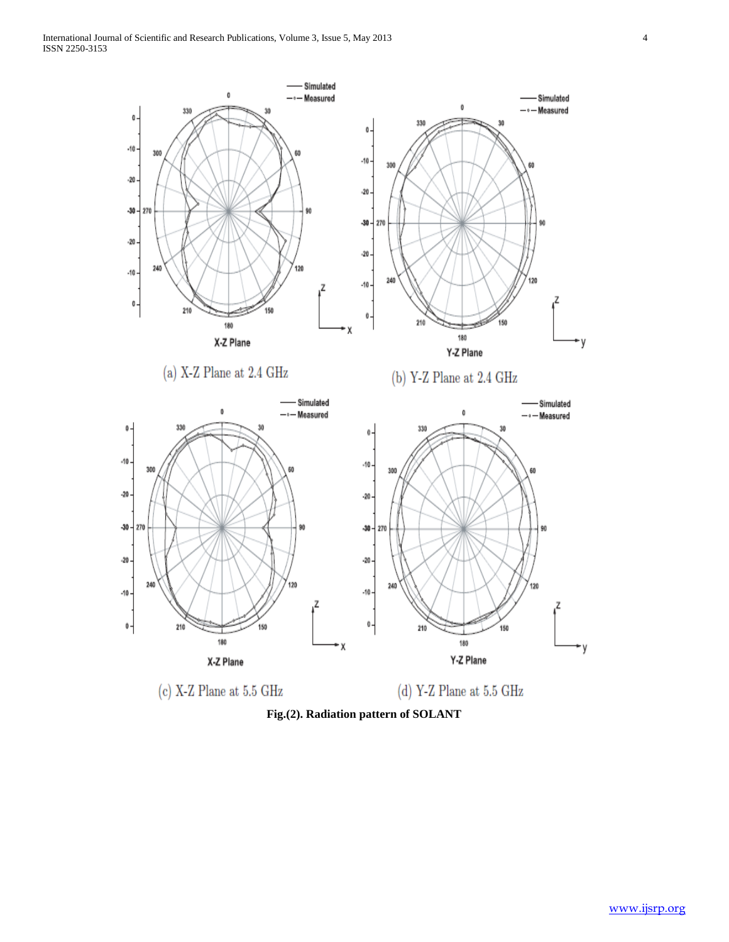